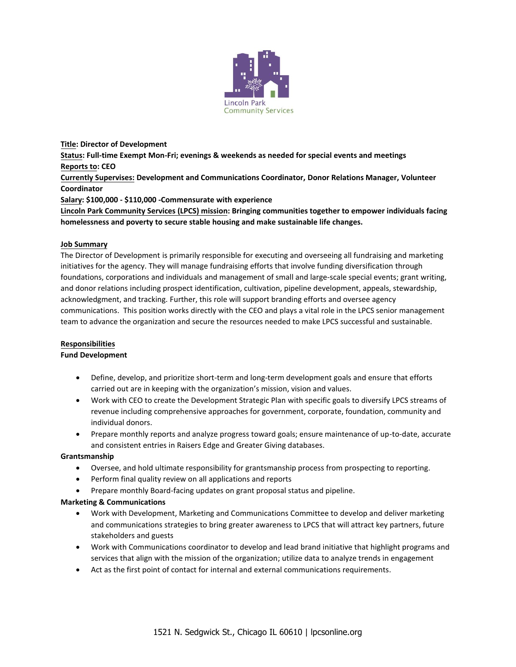

**Title: Director of Development Status: Full-time Exempt Mon-Fri; evenings & weekends as needed for special events and meetings Reports to: CEO Currently Supervises: Development and Communications Coordinator, Donor Relations Manager, Volunteer Coordinator Salary: \$100,000 - \$110,000 -Commensurate with experience** 

**Lincoln Park Community Services (LPCS) mission: Bringing communities together to empower individuals facing homelessness and poverty to secure stable housing and make sustainable life changes.** 

## **Job Summary**

The Director of Development is primarily responsible for executing and overseeing all fundraising and marketing initiatives for the agency. They will manage fundraising efforts that involve funding diversification through foundations, corporations and individuals and management of small and large-scale special events; grant writing, and donor relations including prospect identification, cultivation, pipeline development, appeals, stewardship, acknowledgment, and tracking. Further, this role will support branding efforts and oversee agency communications. This position works directly with the CEO and plays a vital role in the LPCS senior management team to advance the organization and secure the resources needed to make LPCS successful and sustainable.

## **Responsibilities**

## **Fund Development**

- Define, develop, and prioritize short-term and long-term development goals and ensure that efforts carried out are in keeping with the organization's mission, vision and values.
- Work with CEO to create the Development Strategic Plan with specific goals to diversify LPCS streams of revenue including comprehensive approaches for government, corporate, foundation, community and individual donors.
- Prepare monthly reports and analyze progress toward goals; ensure maintenance of up-to-date, accurate and consistent entries in Raisers Edge and Greater Giving databases.

## **Grantsmanship**

- Oversee, and hold ultimate responsibility for grantsmanship process from prospecting to reporting.
- Perform final quality review on all applications and reports
- Prepare monthly Board-facing updates on grant proposal status and pipeline.

## **Marketing & Communications**

- Work with Development, Marketing and Communications Committee to develop and deliver marketing and communications strategies to bring greater awareness to LPCS that will attract key partners, future stakeholders and guests
- Work with Communications coordinator to develop and lead brand initiative that highlight programs and services that align with the mission of the organization; utilize data to analyze trends in engagement
- Act as the first point of contact for internal and external communications requirements.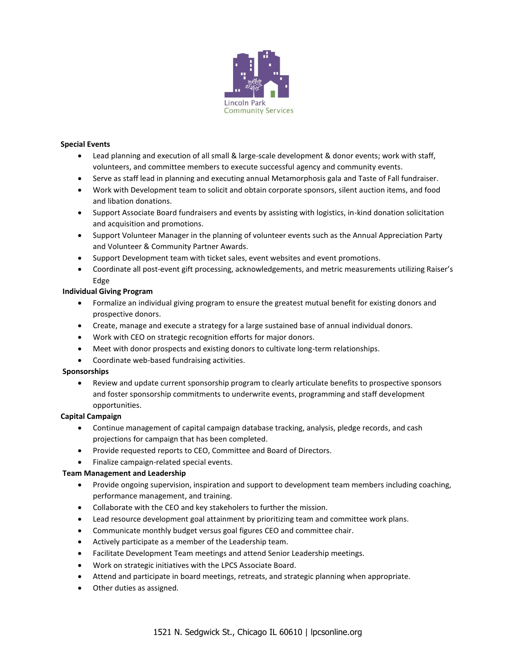

### **Special Events**

- Lead planning and execution of all small & large-scale development & donor events; work with staff, volunteers, and committee members to execute successful agency and community events.
- Serve as staff lead in planning and executing annual Metamorphosis gala and Taste of Fall fundraiser.
- Work with Development team to solicit and obtain corporate sponsors, silent auction items, and food and libation donations.
- Support Associate Board fundraisers and events by assisting with logistics, in-kind donation solicitation and acquisition and promotions.
- Support Volunteer Manager in the planning of volunteer events such as the Annual Appreciation Party and Volunteer & Community Partner Awards.
- Support Development team with ticket sales, event websites and event promotions.
- Coordinate all post-event gift processing, acknowledgements, and metric measurements utilizing Raiser's Edge

## **Individual Giving Program**

- Formalize an individual giving program to ensure the greatest mutual benefit for existing donors and prospective donors.
- Create, manage and execute a strategy for a large sustained base of annual individual donors.
- Work with CEO on strategic recognition efforts for major donors.
- Meet with donor prospects and existing donors to cultivate long-term relationships.
- Coordinate web-based fundraising activities.

#### **Sponsorships**

• Review and update current sponsorship program to clearly articulate benefits to prospective sponsors and foster sponsorship commitments to underwrite events, programming and staff development opportunities.

#### **Capital Campaign**

- Continue management of capital campaign database tracking, analysis, pledge records, and cash projections for campaign that has been completed.
- Provide requested reports to CEO, Committee and Board of Directors.
- Finalize campaign-related special events.

#### **Team Management and Leadership**

- Provide ongoing supervision, inspiration and support to development team members including coaching, performance management, and training.
- Collaborate with the CEO and key stakeholers to further the mission.
- Lead resource development goal attainment by prioritizing team and committee work plans.
- Communicate monthly budget versus goal figures CEO and committee chair.
- Actively participate as a member of the Leadership team.
- Facilitate Development Team meetings and attend Senior Leadership meetings.
- Work on strategic initiatives with the LPCS Associate Board.
- Attend and participate in board meetings, retreats, and strategic planning when appropriate.
- Other duties as assigned.